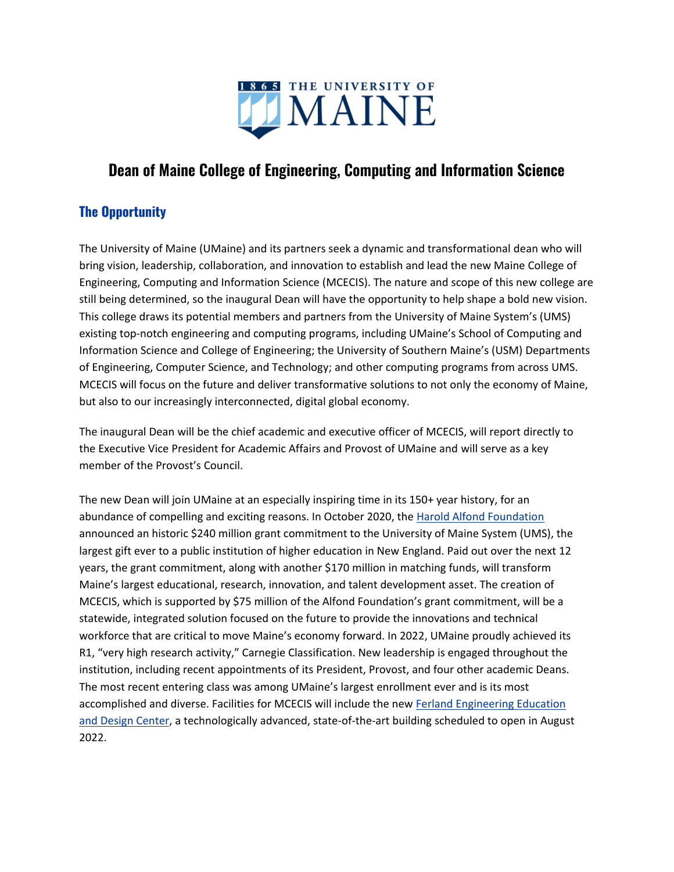

# **Dean of Maine College of Engineering, Computing and Information Science**

# **The Opportunity**

The University of Maine (UMaine) and its partners seek a dynamic and transformational dean who will bring vision, leadership, collaboration, and innovation to establish and lead the new Maine College of Engineering, Computing and Information Science (MCECIS). The nature and scope of this new college are still being determined, so the inaugural Dean will have the opportunity to help shape a bold new vision. This college draws its potential members and partners from the University of Maine System's (UMS) existing top-notch engineering and computing programs, including UMaine's School of Computing and Information Science and College of Engineering; the University of Southern Maine's (USM) Departments of Engineering, Computer Science, and Technology; and other computing programs from across UMS. MCECIS will focus on the future and deliver transformative solutions to not only the economy of Maine, but also to our increasingly interconnected, digital global economy.

The inaugural Dean will be the chief academic and executive officer of MCECIS, will report directly to the Executive Vice President for Academic Affairs and Provost of UMaine and will serve as a key member of the Provost's Council.

The new Dean will join UMaine at an especially inspiring time in its 150+ year history, for an abundance of compelling and exciting reasons. In October 2020, the [Harold Alfond Foundation](https://www.haroldalfondfoundation.org/) announced an historic \$240 million grant commitment to the University of Maine System (UMS), the largest gift ever to a public institution of higher education in New England. Paid out over the next 12 years, the grant commitment, along with another \$170 million in matching funds, will transform Maine's largest educational, research, innovation, and talent development asset. The creation of MCECIS, which is supported by \$75 million of the Alfond Foundation's grant commitment, will be a statewide, integrated solution focused on the future to provide the innovations and technical workforce that are critical to move Maine's economy forward. In 2022, UMaine proudly achieved its R1, "very high research activity," Carnegie Classification. New leadership is engaged throughout the institution, including recent appointments of its President, Provost, and four other academic Deans. The most recent entering class was among UMaine's largest enrollment ever and is its most accomplished and diverse. Facilities for MCECIS will include the ne[w](https://engineering.umaine.edu/ferland-engineering-education-and-design-center/) [Ferland Engineering Education](https://engineering.umaine.edu/ferland-engineering-education-and-design-center/)  [and Design Center,](https://engineering.umaine.edu/ferland-engineering-education-and-design-center/) a technologically advanced, state-of-the-art building scheduled to open in August 2022.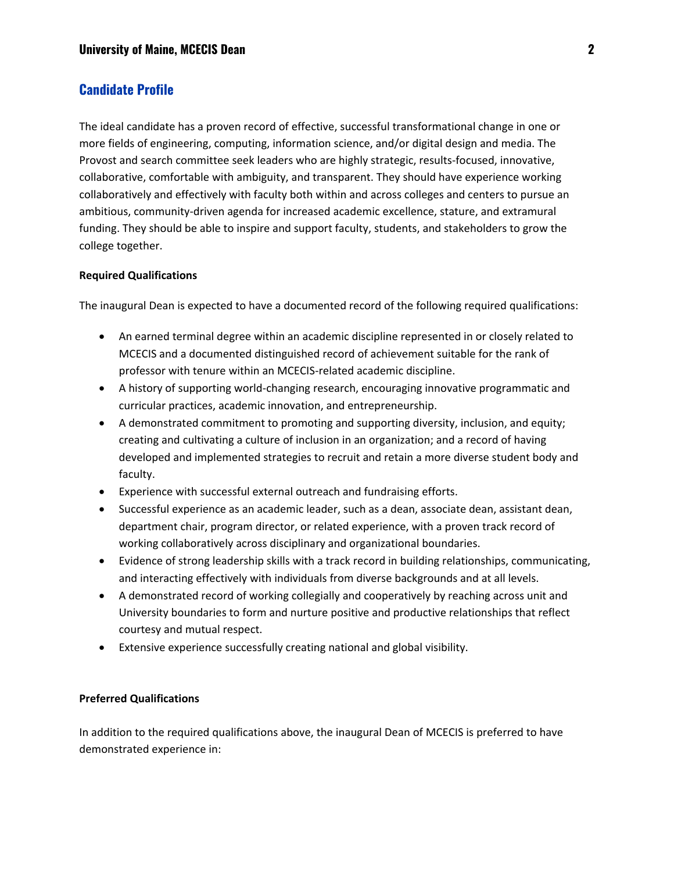# **Candidate Profile**

The ideal candidate has a proven record of effective, successful transformational change in one or more fields of engineering, computing, information science, and/or digital design and media. The Provost and search committee seek leaders who are highly strategic, results-focused, innovative, collaborative, comfortable with ambiguity, and transparent. They should have experience working collaboratively and effectively with faculty both within and across colleges and centers to pursue an ambitious, community-driven agenda for increased academic excellence, stature, and extramural funding. They should be able to inspire and support faculty, students, and stakeholders to grow the college together.

#### **Required Qualifications**

The inaugural Dean is expected to have a documented record of the following required qualifications:

- An earned terminal degree within an academic discipline represented in or closely related to MCECIS and a documented distinguished record of achievement suitable for the rank of professor with tenure within an MCECIS-related academic discipline.
- A history of supporting world-changing research, encouraging innovative programmatic and curricular practices, academic innovation, and entrepreneurship.
- A demonstrated commitment to promoting and supporting diversity, inclusion, and equity; creating and cultivating a culture of inclusion in an organization; and a record of having developed and implemented strategies to recruit and retain a more diverse student body and faculty.
- Experience with successful external outreach and fundraising efforts.
- Successful experience as an academic leader, such as a dean, associate dean, assistant dean, department chair, program director, or related experience, with a proven track record of working collaboratively across disciplinary and organizational boundaries.
- Evidence of strong leadership skills with a track record in building relationships, communicating, and interacting effectively with individuals from diverse backgrounds and at all levels.
- A demonstrated record of working collegially and cooperatively by reaching across unit and University boundaries to form and nurture positive and productive relationships that reflect courtesy and mutual respect.
- Extensive experience successfully creating national and global visibility.

#### **Preferred Qualifications**

In addition to the required qualifications above, the inaugural Dean of MCECIS is preferred to have demonstrated experience in: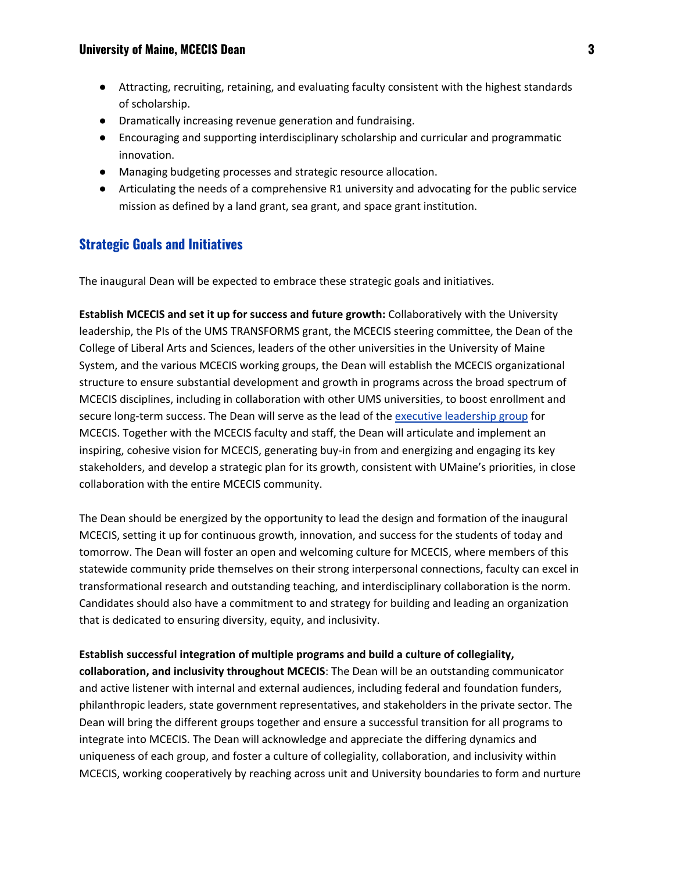- Attracting, recruiting, retaining, and evaluating faculty consistent with the highest standards of scholarship.
- Dramatically increasing revenue generation and fundraising.
- Encouraging and supporting interdisciplinary scholarship and curricular and programmatic innovation.
- Managing budgeting processes and strategic resource allocation.
- Articulating the needs of a comprehensive R1 university and advocating for the public service mission as defined by a land grant, sea grant, and space grant institution.

# **Strategic Goals and Initiatives**

The inaugural Dean will be expected to embrace these strategic goals and initiatives.

**Establish MCECIS and set it up for success and future growth:** Collaboratively with the University leadership, the PIs of the UMS TRANSFORMS grant, the MCECIS steering committee, the Dean of the College of Liberal Arts and Sciences, leaders of the other universities in the University of Maine System, and the various MCECIS working groups, the Dean will establish the MCECIS organizational structure to ensure substantial development and growth in programs across the broad spectrum of MCECIS disciplines, including in collaboration with other UMS universities, to boost enrollment and s[e](https://umaine.edu/transforms/leadership/)cure long-term success. The Dean will serve as the lead of the [executive leadership group](https://umaine.edu/transforms/leadership/) for MCECIS. Together with the MCECIS faculty and staff, the Dean will articulate and implement an inspiring, cohesive vision for MCECIS, generating buy-in from and energizing and engaging its key stakeholders, and develop a strategic plan for its growth, consistent with UMaine's priorities, in close collaboration with the entire MCECIS community.

The Dean should be energized by the opportunity to lead the design and formation of the inaugural MCECIS, setting it up for continuous growth, innovation, and success for the students of today and tomorrow. The Dean will foster an open and welcoming culture for MCECIS, where members of this statewide community pride themselves on their strong interpersonal connections, faculty can excel in transformational research and outstanding teaching, and interdisciplinary collaboration is the norm. Candidates should also have a commitment to and strategy for building and leading an organization that is dedicated to ensuring diversity, equity, and inclusivity.

**Establish successful integration of multiple programs and build a culture of collegiality, collaboration, and inclusivity throughout MCECIS**: The Dean will be an outstanding communicator and active listener with internal and external audiences, including federal and foundation funders, philanthropic leaders, state government representatives, and stakeholders in the private sector. The Dean will bring the different groups together and ensure a successful transition for all programs to integrate into MCECIS. The Dean will acknowledge and appreciate the differing dynamics and uniqueness of each group, and foster a culture of collegiality, collaboration, and inclusivity within MCECIS, working cooperatively by reaching across unit and University boundaries to form and nurture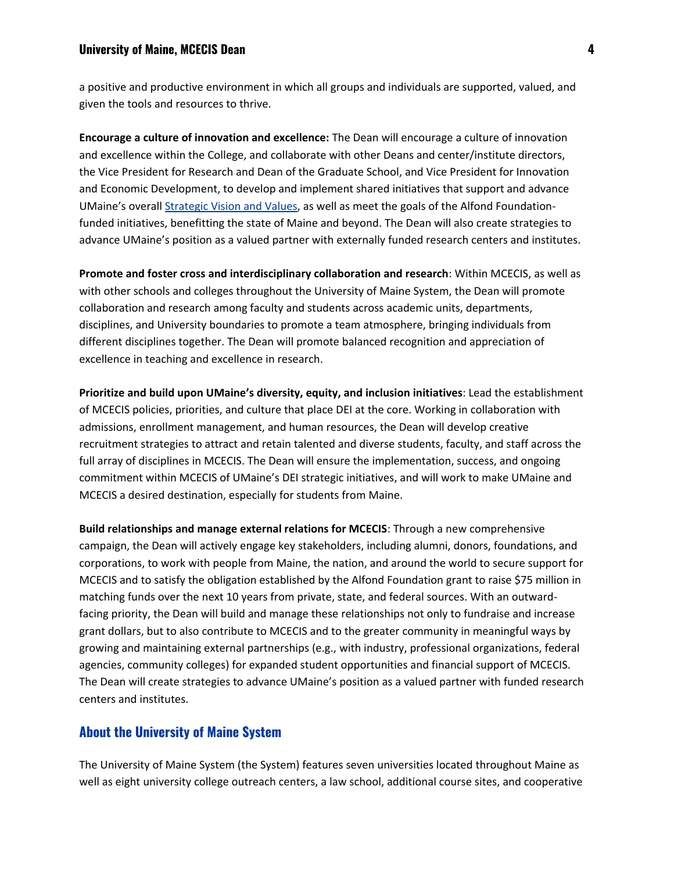a positive and productive environment in which all groups and individuals are supported, valued, and given the tools and resources to thrive.

**Encourage a culture of innovation and excellence:** The Dean will encourage a culture of innovation and excellence within the College, and collaborate with other Deans and center/institute directors, the Vice President for Research and Dean of the Graduate School, and Vice President for Innovation and Economic Development, to develop and implement shared initiatives that support and advance UMaine's overal[l](https://umaine.edu/visionandvalues/strategic-vision-and-values/) [Strategic Vision and Values,](https://umaine.edu/visionandvalues/strategic-vision-and-values/) as well as meet the goals of the Alfond Foundationfunded initiatives, benefitting the state of Maine and beyond. The Dean will also create strategies to advance UMaine's position as a valued partner with externally funded research centers and institutes.

**Promote and foster cross and interdisciplinary collaboration and research**: Within MCECIS, as well as with other schools and colleges throughout the University of Maine System, the Dean will promote collaboration and research among faculty and students across academic units, departments, disciplines, and University boundaries to promote a team atmosphere, bringing individuals from different disciplines together. The Dean will promote balanced recognition and appreciation of excellence in teaching and excellence in research.

**Prioritize and build upon UMaine's diversity, equity, and inclusion initiatives**: Lead the establishment of MCECIS policies, priorities, and culture that place DEI at the core. Working in collaboration with admissions, enrollment management, and human resources, the Dean will develop creative recruitment strategies to attract and retain talented and diverse students, faculty, and staff across the full array of disciplines in MCECIS. The Dean will ensure the implementation, success, and ongoing commitment within MCECIS of UMaine's DEI strategic initiatives, and will work to make UMaine and MCECIS a desired destination, especially for students from Maine.

**Build relationships and manage external relations for MCECIS**: Through a new comprehensive campaign, the Dean will actively engage key stakeholders, including alumni, donors, foundations, and corporations, to work with people from Maine, the nation, and around the world to secure support for MCECIS and to satisfy the obligation established by the Alfond Foundation grant to raise \$75 million in matching funds over the next 10 years from private, state, and federal sources. With an outwardfacing priority, the Dean will build and manage these relationships not only to fundraise and increase grant dollars, but to also contribute to MCECIS and to the greater community in meaningful ways by growing and maintaining external partnerships (e.g., with industry, professional organizations, federal agencies, community colleges) for expanded student opportunities and financial support of MCECIS. The Dean will create strategies to advance UMaine's position as a valued partner with funded research centers and institutes.

### **About the University of Maine System**

The University of Maine System (the System) features seven universities located throughout Maine as well as eight university college outreach centers, a law school, additional course sites, and cooperative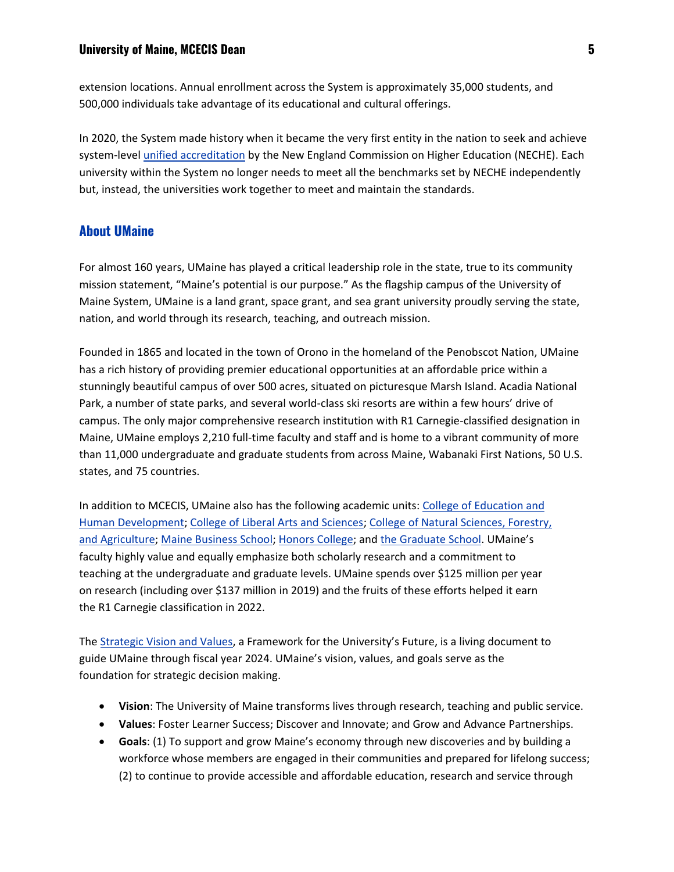extension locations. Annual enrollment across the System is approximately 35,000 students, and 500,000 individuals take advantage of its educational and cultural offerings.

In 2020, the System made history when it became the very first entity in the nation to seek and achieve system-level *[unified accreditation](https://www.maine.edu/blog/2020/06/26/joint-release-new-england-commission-of-higher-education-votes-to-accredit-university-of-maine-system/)* by the New England Commission on Higher Education (NECHE). Each university within the System no longer needs to meet all the benchmarks set by NECHE independently but, instead, the universities work together to meet and maintain the standards.

# **About UMaine**

For almost 160 years, UMaine has played a critical leadership role in the state, true to its community mission statement, "Maine's potential is our purpose." As the flagship campus of the University of Maine System, UMaine is a land grant, space grant, and sea grant university proudly serving the state, nation, and world through its research, teaching, and outreach mission.

Founded in 1865 and located in the town of Orono in the homeland of the Penobscot Nation, UMaine has a rich history of providing premier educational opportunities at an affordable price within a stunningly beautiful campus of over 500 acres, situated on picturesque Marsh Island. Acadia National Park, a number of state parks, and several world-class ski resorts are within a few hours' drive of campus. The only major comprehensive research institution with R1 Carnegie-classified designation in Maine, UMaine employs 2,210 full-time faculty and staff and is home to a vibrant community of more than 11,000 undergraduate and graduate students from across Maine, Wabanaki First Nations, 50 U.S. states, and 75 countries.

In addition to MCECIS, UMaine also has the following academic units[:](https://umaine.edu/edhd/) [College of Education and](https://umaine.edu/edhd/)  [Human Development;](https://umaine.edu/edhd/) [College of Liberal Arts and Sciences;](https://umaine.edu/las/) [College of Natural Sciences, Forestry,](https://nsfa.umaine.edu/)  [and Agriculture;](https://nsfa.umaine.edu/) [Maine Business School;](https://umaine.edu/business/) [Honors College;](https://honors.umaine.edu/) and [the Graduate School](https://umaine.edu/graduate/). UMaine's faculty highly value and equally emphasize both scholarly research and a commitment to teaching at the undergraduate and graduate levels. UMaine spends over \$125 million per year on research (including over \$137 million in 2019) and the fruits of these efforts helped it earn the R1 Carnegie classification in 2022.

Th[e](https://umaine.edu/visionandvalues/) [Strategic Vision and Values](https://umaine.edu/visionandvalues/), a Framework for the University's Future, is a living document to guide UMaine through fiscal year 2024. UMaine's vision, values, and goals serve as the foundation for strategic decision making.

- **Vision**: The University of Maine transforms lives through research, teaching and public service.
- **Values**: Foster Learner Success; Discover and Innovate; and Grow and Advance Partnerships.
- **Goals**: (1) To support and grow Maine's economy through new discoveries and by building a workforce whose members are engaged in their communities and prepared for lifelong success; (2) to continue to provide accessible and affordable education, research and service through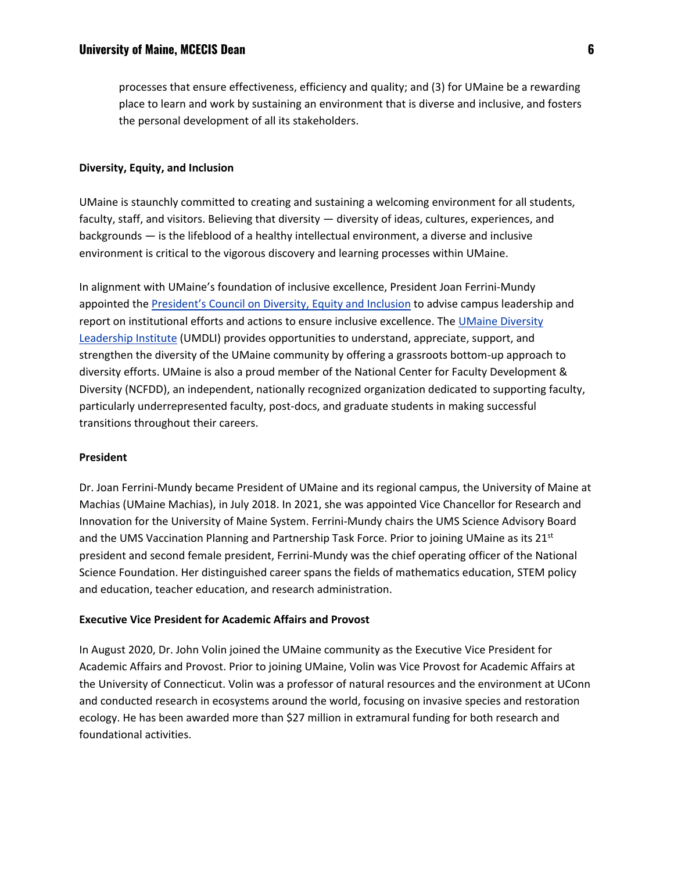processes that ensure effectiveness, efficiency and quality; and (3) for UMaine be a rewarding place to learn and work by sustaining an environment that is diverse and inclusive, and fosters the personal development of all its stakeholders.

#### **Diversity, Equity, and Inclusion**

UMaine is staunchly committed to creating and sustaining a welcoming environment for all students, faculty, staff, and visitors. Believing that diversity — diversity of ideas, cultures, experiences, and backgrounds — is the lifeblood of a healthy intellectual environment, a diverse and inclusive environment is critical to the vigorous discovery and learning processes within UMaine.

In alignment with UMaine's foundation of inclusive excellence, President Joan Ferrini-Mundy appointed th[e](https://umaine.edu/president/council-on-diversity-equity-and-inclusion/) [President's Council on Diversity, Equity a](https://umaine.edu/president/council-on-diversity-equity-and-inclusion/)nd Inclusion to advise campus leadership and report on institutional efforts and actions to ensure inclusive excellence. The UMaine Diversity [Leadership Institute](https://umaine.edu/umdli/) (UMDLI) provides opportunities to understand, appreciate, support, and strengthen the diversity of the UMaine community by offering a grassroots bottom-up approach to diversity efforts. UMaine is also a proud member of the National Center for Faculty Development & Diversity (NCFDD), an independent, nationally recognized organization dedicated to supporting faculty, particularly underrepresented faculty, post-docs, and graduate students in making successful transitions throughout their careers.

#### **President**

Dr. Joan Ferrini-Mundy became President of UMaine and its regional campus, the University of Maine at Machias (UMaine Machias), in July 2018. In 2021, she was appointed Vice Chancellor for Research and Innovation for the University of Maine System. Ferrini-Mundy chairs the UMS Science Advisory Board and the UMS Vaccination Planning and Partnership Task Force. Prior to joining UMaine as its 21<sup>st</sup> president and second female president, Ferrini-Mundy was the chief operating officer of the National Science Foundation. Her distinguished career spans the fields of mathematics education, STEM policy and education, teacher education, and research administration.

#### **Executive Vice President for Academic Affairs and Provost**

In August 2020, Dr. John Volin joined the UMaine community as the Executive Vice President for Academic Affairs and Provost. Prior to joining UMaine, Volin was Vice Provost for Academic Affairs at the University of Connecticut. Volin was a professor of natural resources and the environment at UConn and conducted research in ecosystems around the world, focusing on invasive species and restoration ecology. He has been awarded more than \$27 million in extramural funding for both research and foundational activities.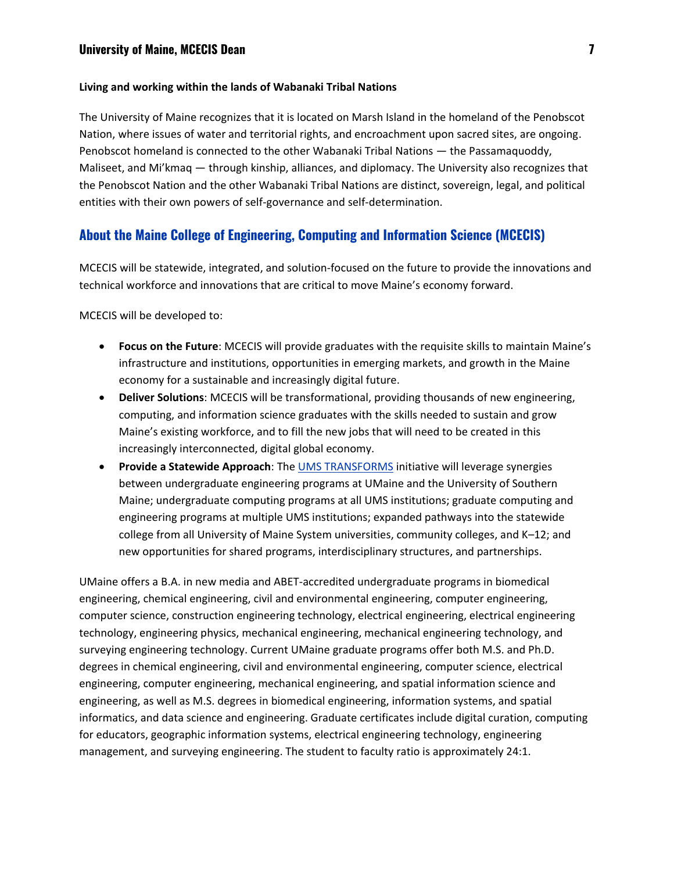#### **Living and working within the lands of Wabanaki Tribal Nations**

The University of Maine recognizes that it is located on Marsh Island in the homeland of the Penobscot Nation, where issues of water and territorial rights, and encroachment upon sacred sites, are ongoing. Penobscot homeland is connected to the other Wabanaki Tribal Nations — the Passamaquoddy, Maliseet, and Mi'kmaq — through kinship, alliances, and diplomacy. The University also recognizes that the Penobscot Nation and the other Wabanaki Tribal Nations are distinct, sovereign, legal, and political entities with their own powers of self-governance and self-determination.

# **About the Maine College of Engineering, Computing and Information Science (MCECIS)**

MCECIS will be statewide, integrated, and solution-focused on the future to provide the innovations and technical workforce and innovations that are critical to move Maine's economy forward.

MCECIS will be developed to:

- **Focus on the Future**: MCECIS will provide graduates with the requisite skills to maintain Maine's infrastructure and institutions, opportunities in emerging markets, and growth in the Maine economy for a sustainable and increasingly digital future.
- **Deliver Solutions**: MCECIS will be transformational, providing thousands of new engineering, computing, and information science graduates with the skills needed to sustain and grow Maine's existing workforce, and to fill the new jobs that will need to be created in this increasingly interconnected, digital global economy.
- **Provide a Statewide Approach**: Th[e](https://umaine.edu/transforms/) [UMS TRANSFORMS](https://umaine.edu/transforms/) initiative will leverage synergies between undergraduate engineering programs at UMaine and the University of Southern Maine; undergraduate computing programs at all UMS institutions; graduate computing and engineering programs at multiple UMS institutions; expanded pathways into the statewide college from all University of Maine System universities, community colleges, and K–12; and new opportunities for shared programs, interdisciplinary structures, and partnerships.

UMaine offers a B.A. in new media and ABET-accredited undergraduate programs in biomedical engineering, chemical engineering, civil and environmental engineering, computer engineering, computer science, construction engineering technology, electrical engineering, electrical engineering technology, engineering physics, mechanical engineering, mechanical engineering technology, and surveying engineering technology. Current UMaine graduate programs offer both M.S. and Ph.D. degrees in chemical engineering, civil and environmental engineering, computer science, electrical engineering, computer engineering, mechanical engineering, and spatial information science and engineering, as well as M.S. degrees in biomedical engineering, information systems, and spatial informatics, and data science and engineering. Graduate certificates include digital curation, computing for educators, geographic information systems, electrical engineering technology, engineering management, and surveying engineering. The student to faculty ratio is approximately 24:1.